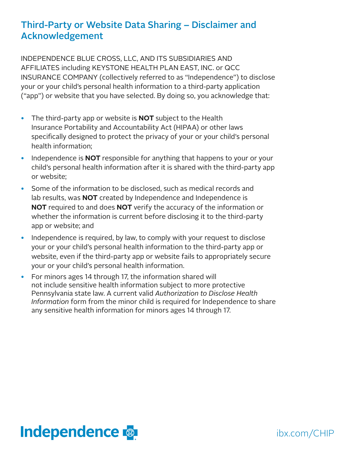## Third-Party or Website Data Sharing – Disclaimer and Acknowledgement

INDEPENDENCE BLUE CROSS, LLC, AND ITS SUBSIDIARIES AND AFFILIATES including KEYSTONE HEALTH PLAN EAST, INC. or QCC INSURANCE COMPANY (collectively referred to as "Independence") to disclose your or your child's personal health information to a third-party application ("app") or website that you have selected. By doing so, you acknowledge that:

- The third-party app or website is **NOT** subject to the Health Insurance Portability and Accountability Act (HIPAA) or other laws specifically designed to protect the privacy of your or your child's personal health information;
- Independence is **NOT** responsible for anything that happens to your or your child's personal health information after it is shared with the third-party app or website;
- Some of the information to be disclosed, such as medical records and lab results, was **NOT** created by Independence and Independence is **NOT** required to and does **NOT** verify the accuracy of the information or whether the information is current before disclosing it to the third-party app or website; and
- Independence is required, by law, to comply with your request to disclose your or your child's personal health information to the third-party app or website, even if the third-party app or website fails to appropriately secure your or your child's personal health information.
- For minors ages 14 through 17, the information shared will not include sensitive health information subject to more protective Pennsylvania state law. A current valid *Authorization to Disclose Health Information* form from the minor child is required for Independence to share any sensitive health information for minors ages 14 through 17.



ibx.com/CHIP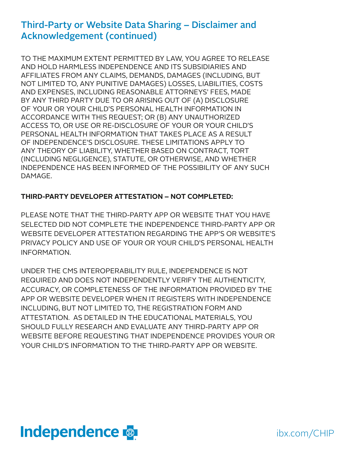## Third-Party or Website Data Sharing – Disclaimer and Acknowledgement (continued)

TO THE MAXIMUM EXTENT PERMITTED BY LAW, YOU AGREE TO RELEASE AND HOLD HARMLESS INDEPENDENCE AND ITS SUBSIDIARIES AND AFFILIATES FROM ANY CLAIMS, DEMANDS, DAMAGES (INCLUDING, BUT NOT LIMITED TO, ANY PUNITIVE DAMAGES) LOSSES, LIABILITIES, COSTS AND EXPENSES, INCLUDING REASONABLE ATTORNEYS' FEES, MADE BY ANY THIRD PARTY DUE TO OR ARISING OUT OF (A) DISCLOSURE OF YOUR OR YOUR CHILD'S PERSONAL HEALTH INFORMATION IN ACCORDANCE WITH THIS REQUEST; OR (B) ANY UNAUTHORIZED ACCESS TO, OR USE OR RE-DISCLOSURE OF YOUR OR YOUR CHILD'S PERSONAL HEALTH INFORMATION THAT TAKES PLACE AS A RESULT OF INDEPENDENCE'S DISCLOSURE. THESE LIMITATIONS APPLY TO ANY THEORY OF LIABILITY, WHETHER BASED ON CONTRACT, TORT (INCLUDING NEGLIGENCE), STATUTE, OR OTHERWISE, AND WHETHER INDEPENDENCE HAS BEEN INFORMED OF THE POSSIBILITY OF ANY SUCH DAMAGE.

#### **THIRD-PARTY DEVELOPER ATTESTATION – NOT COMPLETED:**

PLEASE NOTE THAT THE THIRD-PARTY APP OR WEBSITE THAT YOU HAVE SELECTED DID NOT COMPLETE THE INDEPENDENCE THIRD-PARTY APP OR WEBSITE DEVELOPER ATTESTATION REGARDING THE APP'S OR WEBSITE'S PRIVACY POLICY AND USE OF YOUR OR YOUR CHILD'S PERSONAL HEALTH INFORMATION.

UNDER THE CMS INTEROPERABILITY RULE, INDEPENDENCE IS NOT REQUIRED AND DOES NOT INDEPENDENTLY VERIFY THE AUTHENTICITY, ACCURACY, OR COMPLETENESS OF THE INFORMATION PROVIDED BY THE APP OR WEBSITE DEVELOPER WHEN IT REGISTERS WITH INDEPENDENCE INCLUDING, BUT NOT LIMITED TO, THE REGISTRATION FORM AND ATTESTATION. AS DETAILED IN THE EDUCATIONAL MATERIALS, YOU SHOULD FULLY RESEARCH AND EVALUATE ANY THIRD-PARTY APP OR WEBSITE BEFORE REQUESTING THAT INDEPENDENCE PROVIDES YOUR OR YOUR CHILD'S INFORMATION TO THE THIRD-PARTY APP OR WEBSITE.



ibx.com/CHIP